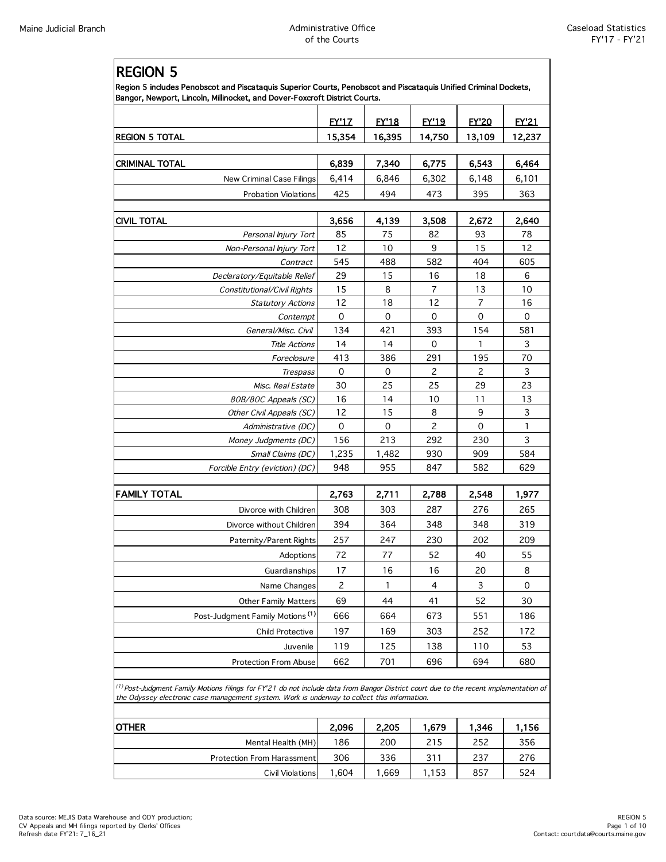Г

|                                                                                                                                                                                                                                            | <b>EY'17</b>   | <b>EY'18</b> | <b>EY'19</b>   | <b>FY'20</b>              | <b>EY'21</b> |
|--------------------------------------------------------------------------------------------------------------------------------------------------------------------------------------------------------------------------------------------|----------------|--------------|----------------|---------------------------|--------------|
| <b>REGION 5 TOTAL</b>                                                                                                                                                                                                                      | 15,354         | 16,395       | 14,750         | 13,109                    | 12,237       |
| CRIMINAL TOTAL                                                                                                                                                                                                                             | 6,839          | 7,340        | 6,775          | 6,543                     | 6,464        |
| New Criminal Case Filings                                                                                                                                                                                                                  | 6,414          | 6,846        | 6,302          | 6,148                     | 6,101        |
| <b>Probation Violations</b>                                                                                                                                                                                                                | 425            | 494          | 473            | 395                       | 363          |
|                                                                                                                                                                                                                                            |                |              |                |                           |              |
| CIVIL TOTAL                                                                                                                                                                                                                                | 3,656          | 4,139        | 3,508          | 2,672                     | 2,640        |
| Personal Injury Tort                                                                                                                                                                                                                       | 85             | 75           | 82             | 93                        | 78           |
| Non-Personal Injury Tort                                                                                                                                                                                                                   | 12             | 10           | 9              | 15                        | 12           |
| Contract                                                                                                                                                                                                                                   | 545            | 488          | 582            | 404                       | 605          |
| Declaratory/Equitable Relief                                                                                                                                                                                                               | 29             | 15           | 16             | 18                        | 6            |
| Constitutional/Civil Rights                                                                                                                                                                                                                | 15             | 8            | $\overline{7}$ | 13                        | 10           |
| <b>Statutory Actions</b>                                                                                                                                                                                                                   | 12             | 18           | 12             | 7                         | 16           |
| Contempt                                                                                                                                                                                                                                   | $\mathbf 0$    | 0            | $\mathbf 0$    | 0                         | 0            |
| General/Misc. Civil                                                                                                                                                                                                                        | 134            | 421          | 393            | 154                       | 581          |
| <b>Title Actions</b>                                                                                                                                                                                                                       | 14             | 14           | 0              | 1                         | 3            |
| Foreclosure                                                                                                                                                                                                                                | 413            | 386          | 291            | 195                       | 70           |
| Trespass                                                                                                                                                                                                                                   | 0              | 0            | 2              | 2                         | 3            |
| Misc. Real Estate                                                                                                                                                                                                                          | 30             | 25           | 25             | 29                        | 23           |
| 80B/80C Appeals (SC)                                                                                                                                                                                                                       | 16             | 14           | 10             | 11                        | 13           |
| Other Civil Appeals (SC)                                                                                                                                                                                                                   | 12             | 15           | 8              | 9                         | 3            |
| Administrative (DC)                                                                                                                                                                                                                        | 0              | 0            | 2              | 0                         | 1            |
| Money Judgments (DC)                                                                                                                                                                                                                       | 156            | 213          | 292            | 230                       | 3            |
| Small Claims (DC)                                                                                                                                                                                                                          | 1,235          | 1,482        | 930            | 909                       | 584          |
| Forcible Entry (eviction) (DC)                                                                                                                                                                                                             | 948            | 955          | 847            | 582                       | 629          |
| <b>FAMILY TOTAL</b>                                                                                                                                                                                                                        | 2,763          | 2,711        | 2,788          | 2,548                     | 1,977        |
| Divorce with Children                                                                                                                                                                                                                      | 308            | 303          | 287            | 276                       | 265          |
| Divorce without Children                                                                                                                                                                                                                   | 394            | 364          | 348            | 348                       | 319          |
| Paternity/Parent Rights                                                                                                                                                                                                                    | 257            | 247          | 230            | 202                       | 209          |
| Adoptions                                                                                                                                                                                                                                  | 72             | $77\,$       | 52             | 40                        | 55           |
| Guardianships                                                                                                                                                                                                                              | 17             | 16           | 16             | 20                        | 8            |
|                                                                                                                                                                                                                                            |                |              |                |                           |              |
| Name Changes                                                                                                                                                                                                                               | $\overline{c}$ | $\mathbf{1}$ | $\overline{4}$ | $\ensuremath{\mathsf{3}}$ | 0            |
| <b>Other Family Matters</b>                                                                                                                                                                                                                | 69             | 44           | 41             | 52                        | 30           |
| Post-Judgment Family Motions <sup>(1)</sup>                                                                                                                                                                                                | 666            | 664          | 673            | 551                       | 186          |
| Child Protective                                                                                                                                                                                                                           | 197            | 169          | 303            | 252                       | 172          |
| Juvenile                                                                                                                                                                                                                                   | 119            | 125          | 138            | 110                       | 53           |
| Protection From Abuse                                                                                                                                                                                                                      | 662            | 701          | 696            | 694                       | 680          |
| $^{(1)}$ Post-Judgment Family Motions filings for FY'21 do not include data from Bangor District court due to the recent implementation of<br>the Odyssey electronic case management system. Work is underway to collect this information. |                |              |                |                           |              |
| OTHER                                                                                                                                                                                                                                      | 2,096          | 2,205        | 1,679          | 1,346                     | 1,156        |
| Mental Health (MH)                                                                                                                                                                                                                         | 186            | 200          | 215            | 252                       | 356          |
| <b>Protection From Harassment</b>                                                                                                                                                                                                          | 306            | 336          | 311            | 237                       | 276          |

Civil Violations 1,604 1,669 1,153 857 524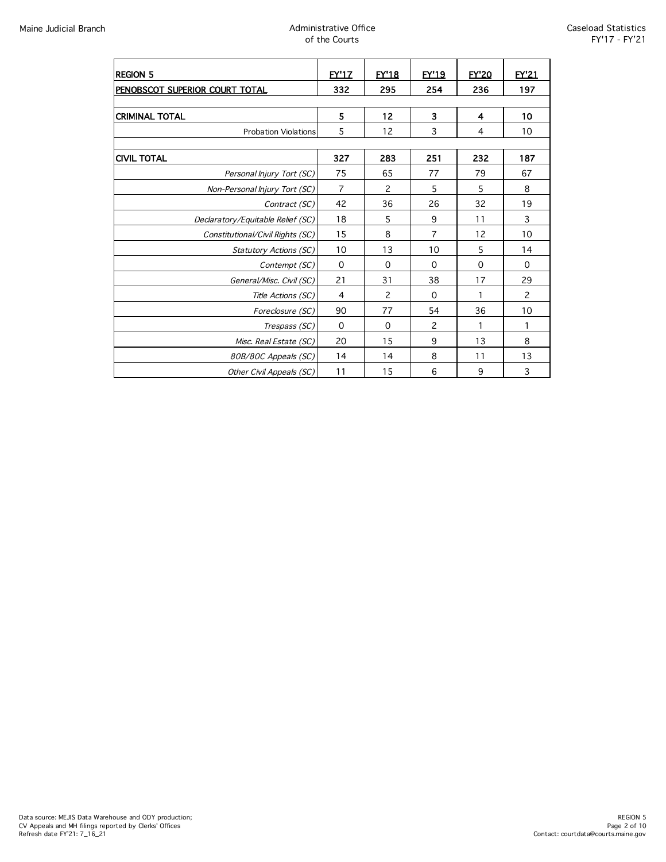| <b>REGION 5</b>                   | <b>EY'17</b>   | <b>EY'18</b> | <b>EY'19</b>   | <b>EY'20</b> | <b>FY'21</b> |  |
|-----------------------------------|----------------|--------------|----------------|--------------|--------------|--|
|                                   | 332            | 295          | 254            | 236          | 197          |  |
| PENOBSCOT SUPERIOR COURT TOTAL    |                |              |                |              |              |  |
| <b>CRIMINAL TOTAL</b>             | 5              | 12           | 3              | 4            | 10           |  |
| <b>Probation Violations</b>       | 5              | 12           | 3              | 4            | 10           |  |
|                                   |                |              |                |              |              |  |
| <b>CIVIL TOTAL</b>                | 327            | 283          | 251            | 232          | 187          |  |
| Personal Injury Tort (SC)         | 75             | 65           | 77             | 79           | 67           |  |
| Non-Personal Injury Tort (SC)     | $\overline{7}$ | 2            | 5              | 5            | 8            |  |
| Contract (SC)                     | 42             | 36           | 26             | 32           | 19           |  |
| Declaratory/Equitable Relief (SC) | 18             | 5            | 9              | 11           | 3            |  |
| Constitutional/Civil Rights (SC)  | 15             | 8            | $\overline{7}$ | 12           | 10           |  |
| <b>Statutory Actions (SC)</b>     | 10             | 13           | 10             | 5            | 14           |  |
| Contempt (SC)                     | $\mathbf 0$    | 0            | $\Omega$       | $\mathbf 0$  | $\mathbf 0$  |  |
| General/Misc. Civil (SC)          | 21             | 31           | 38             | 17           | 29           |  |
| Title Actions (SC)                | 4              | 2            | $\Omega$       | 1            | 2            |  |
| Foreclosure (SC)                  | 90             | 77           | 54             | 36           | 10           |  |
| Trespass (SC)                     | 0              | $\Omega$     | 2              | 1            | 1            |  |
| Misc. Real Estate (SC)            | 20             | 15           | 9              | 13           | 8            |  |
| 80B/80C Appeals (SC)              | 14             | 14           | 8              | 11           | 13           |  |
| Other Civil Appeals (SC)          | 11             | 15           | 6              | 9            | 3            |  |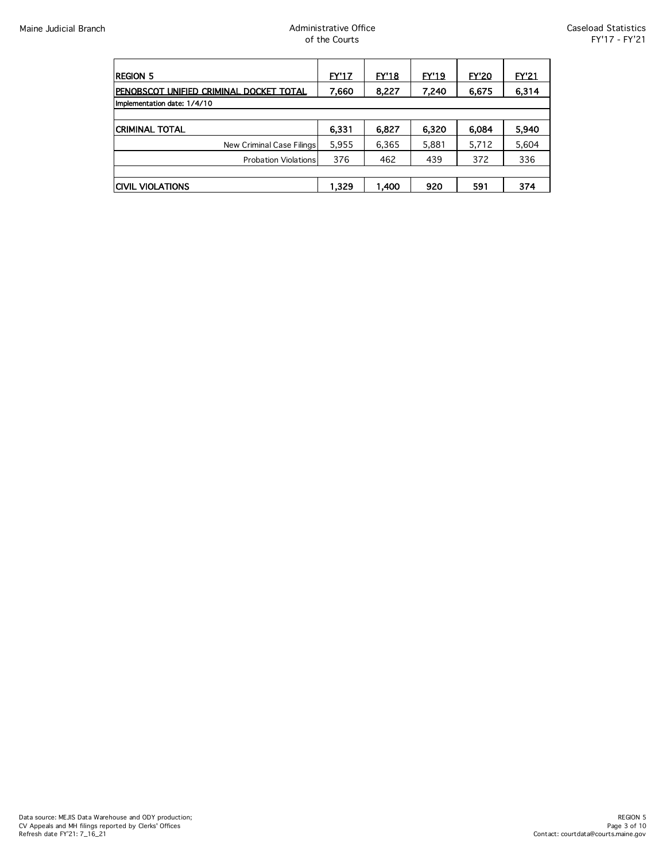| <b>REGION 5</b>                          | <b>EY'17</b> | EY'18 | <b>EY'19</b> | <b>EY'20</b> | <b>EY'21</b> |
|------------------------------------------|--------------|-------|--------------|--------------|--------------|
| IPENOBSCOT UNIFIED CRIMINAL DOCKET TOTAL | 7,660        | 8,227 | 7,240        | 6,675        | 6,314        |
| Implementation date: 1/4/10              |              |       |              |              |              |
|                                          |              |       |              |              |              |
| <b>CRIMINAL TOTAL</b>                    | 6,331        | 6,827 | 6.320        | 6.084        | 5,940        |
| New Criminal Case Filings                | 5,955        | 6,365 | 5,881        | 5,712        | 5,604        |
| <b>Probation Violations</b>              | 376          | 462   | 439          | 372          | 336          |
|                                          |              |       |              |              |              |
| <b>ICIVIL VIOLATIONS</b>                 | 1.329        | 1.400 | 920          | 591          | 374          |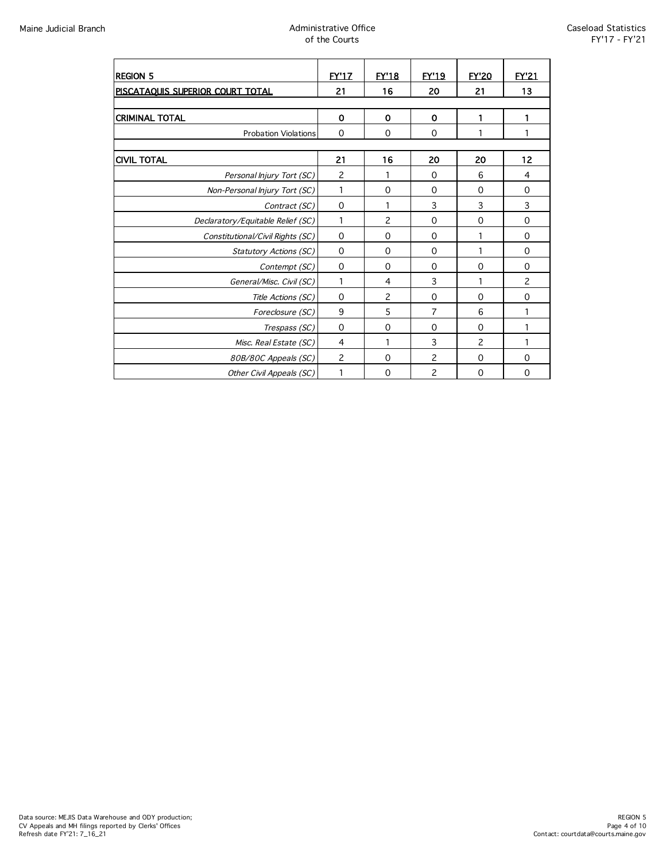| <b>REGION 5</b>                   | <b>EY'17</b>   | <b>EY'18</b>   | <b>EY'19</b>   | <b>FY'20</b>   | <b>FY'21</b> |
|-----------------------------------|----------------|----------------|----------------|----------------|--------------|
| PISCATAQUIS SUPERIOR COURT TOTAL  | 21             | 16             | 20             | 21             | 13           |
|                                   |                |                |                |                |              |
| <b>CRIMINAL TOTAL</b>             | $\mathbf 0$    | $\mathbf 0$    | 0              | 1              | 1            |
| <b>Probation Violations</b>       | $\Omega$       | $\mathbf 0$    | $\Omega$       |                | 1            |
|                                   |                |                |                |                |              |
| <b>CIVIL TOTAL</b>                | 21             | 16             | 20             | 20             | 12           |
| Personal Injury Tort (SC)         | $\overline{c}$ | 1              | $\Omega$       | 6              | 4            |
| Non-Personal Injury Tort (SC)     | 1              | $\mathbf 0$    | 0              | 0              | 0            |
| Contract (SC)                     | $\mathbf 0$    | 1              | 3              | 3              | 3            |
| Declaratory/Equitable Relief (SC) | 1              | $\overline{c}$ | 0              | $\mathbf 0$    | $\mathbf 0$  |
| Constitutional/Civil Rights (SC)  | 0              | $\mathbf 0$    | $\Omega$       | 1              | 0            |
| <b>Statutory Actions (SC)</b>     | 0              | 0              | 0              | 1              | 0            |
| Contempt (SC)                     | 0              | $\mathbf 0$    | $\Omega$       | $\Omega$       | 0            |
| General/Misc. Civil (SC)          | 1              | 4              | 3              | 1              | 2            |
| Title Actions (SC)                | 0              | $\overline{c}$ | 0              | 0              | 0            |
| Foreclosure (SC)                  | 9              | 5              | 7              | 6              | 1            |
| Trespass (SC)                     | $\Omega$       | $\Omega$       | $\Omega$       | $\Omega$       | 1            |
| Misc. Real Estate (SC)            | 4              | 1              | 3              | $\overline{c}$ | 1            |
| 80B/80C Appeals (SC)              | $\overline{c}$ | $\mathbf 0$    | $\overline{c}$ | $\Omega$       | $\mathbf 0$  |
| Other Civil Appeals (SC)          | 1              | $\mathbf 0$    | $\overline{c}$ | 0              | 0            |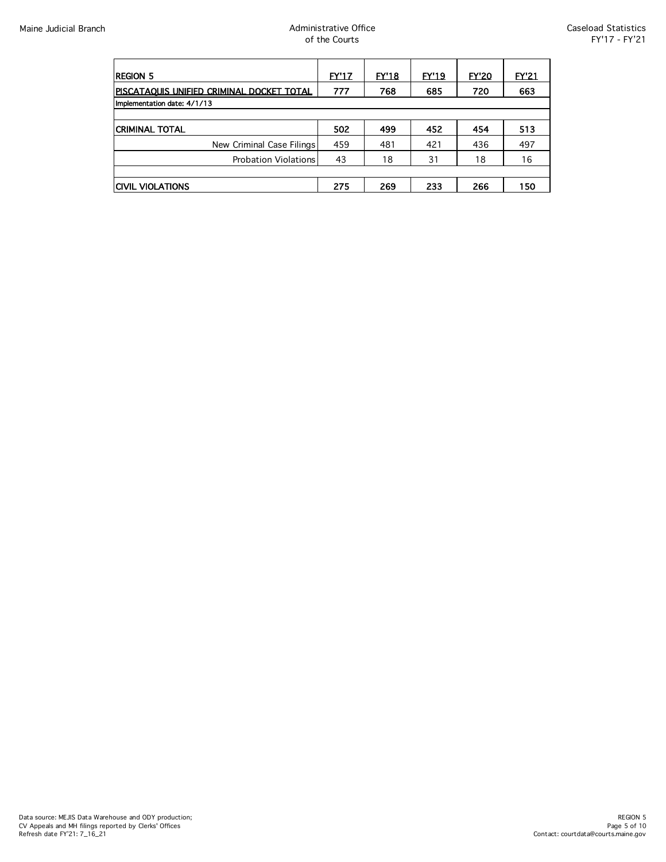| Region 5                                  | EY'17 | EY'18 | EY'19 | <b>EY'20</b> | <b>EY'21</b> |  |
|-------------------------------------------|-------|-------|-------|--------------|--------------|--|
| PISCATAOUIS UNIFIED CRIMINAL DOCKET TOTAL | 777   | 768   | 685   | 720          | 663          |  |
| Implementation date: 4/1/13               |       |       |       |              |              |  |
|                                           |       |       |       |              |              |  |
| ICRIMINAL TOTAL                           | 502   | 499   | 452   | 454          | 513          |  |
| New Criminal Case Filings                 | 459   | 481   | 421   | 436          | 497          |  |
| <b>Probation Violations</b>               | 43    | 18    | 31    | 18           | 16           |  |
|                                           |       |       |       |              |              |  |
| ICIVIL VIOLATIONS                         | 275   | 269   | 233   | 266          | 150          |  |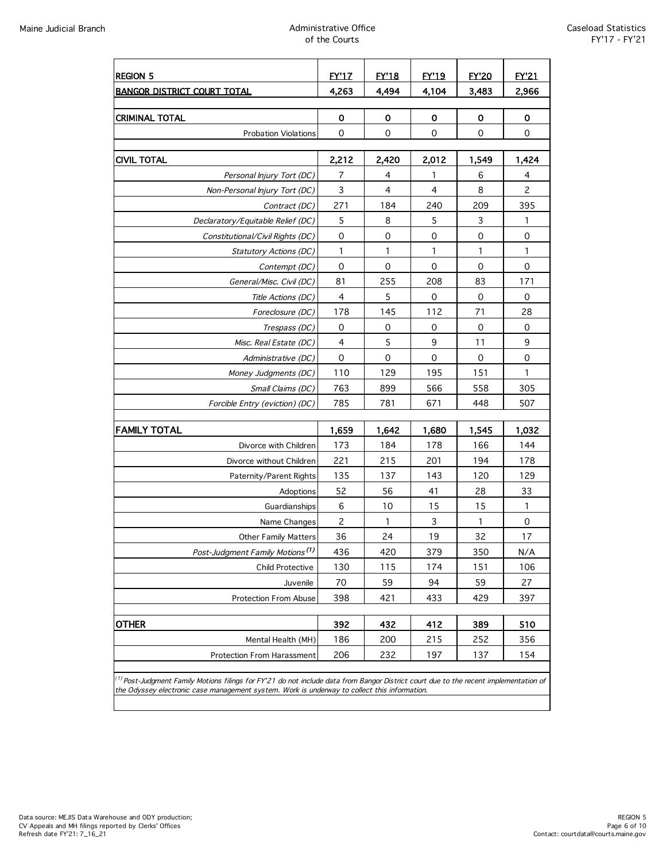| <b>REGION 5</b>                                                                                                                                                                                                                                  | <b>FY'17</b>   | <b>EY'18</b> | <b>EY'19</b> | <b>FY'20</b> | <b>EY'21</b>        |
|--------------------------------------------------------------------------------------------------------------------------------------------------------------------------------------------------------------------------------------------------|----------------|--------------|--------------|--------------|---------------------|
| <b>BANGOR DISTRICT COURT TOTAL</b>                                                                                                                                                                                                               | 4,263          | 4,494        | 4,104        | 3,483        | 2,966               |
|                                                                                                                                                                                                                                                  |                |              |              |              |                     |
| <b>CRIMINAL TOTAL</b>                                                                                                                                                                                                                            | 0              | 0            | 0            | 0            | $\mathbf 0$         |
| <b>Probation Violations</b>                                                                                                                                                                                                                      | 0              | 0            | 0            | 0            | 0                   |
| <b>CIVIL TOTAL</b>                                                                                                                                                                                                                               | 2,212          | 2,420        | 2,012        | 1,549        | 1,424               |
| Personal Injury Tort (DC)                                                                                                                                                                                                                        | 7              | 4            | 1            | 6            | 4                   |
| Non-Personal Injury Tort (DC)                                                                                                                                                                                                                    | $\mathsf 3$    | 4            | 4            | 8            | $\overline{c}$      |
| Contract (DC)                                                                                                                                                                                                                                    | 271            | 184          | 240          | 209          | 395                 |
| Declaratory/Equitable Relief (DC)                                                                                                                                                                                                                | 5              | 8            | 5            | 3            | 1                   |
| Constitutional/Civil Rights (DC)                                                                                                                                                                                                                 | $\mathbf 0$    | 0            | 0            | 0            | $\mathbf 0$         |
| Statutory Actions (DC)                                                                                                                                                                                                                           | 1              | 1            | 1            | 1            | 1                   |
| Contempt (DC)                                                                                                                                                                                                                                    | $\overline{0}$ | 0            | 0            | 0            | 0                   |
| General/Misc. Civil (DC)                                                                                                                                                                                                                         | 81             | 255          | 208          | 83           | 171                 |
| Title Actions (DC)                                                                                                                                                                                                                               | $\overline{4}$ | 5            | 0            | $\mathbf 0$  | $\mathbf 0$         |
| Foreclosure (DC)                                                                                                                                                                                                                                 | 178            | 145          | 112          | 71           | 28                  |
| Trespass (DC)                                                                                                                                                                                                                                    | 0              | 0            | 0            | 0            | 0                   |
| Misc. Real Estate (DC)                                                                                                                                                                                                                           | 4              | 5            | 9            | 11           | 9                   |
| Administrative (DC)                                                                                                                                                                                                                              | $\mathbf 0$    | 0            | 0            | 0            | 0                   |
| Money Judgments (DC)                                                                                                                                                                                                                             | 110            | 129          | 195          | 151          | 1                   |
| Small Claims (DC)                                                                                                                                                                                                                                | 763            | 899          | 566          | 558          | 305                 |
| Forcible Entry (eviction) (DC)                                                                                                                                                                                                                   | 785            | 781          | 671          | 448          | 507                 |
| <b>FAMILY TOTAL</b>                                                                                                                                                                                                                              | 1,659          | 1,642        | 1,680        | 1,545        | 1,032               |
| Divorce with Children                                                                                                                                                                                                                            | 173            | 184          | 178          | 166          | 144                 |
| Divorce without Children                                                                                                                                                                                                                         | 221            | 215          | 201          | 194          | 178                 |
| Paternity/Parent Rights                                                                                                                                                                                                                          | 135            | 137          | 143          | 120          | 129                 |
| Adoptions                                                                                                                                                                                                                                        | 52             | 56           | 41           | 28           | 33                  |
| Guardianships                                                                                                                                                                                                                                    | 6              | 10           | 15           | 15           | $\mathbf{1}$        |
| Name Changes                                                                                                                                                                                                                                     | $\overline{c}$ | 1            | 3            | 1            | $\mathsf{O}\xspace$ |
| <b>Other Family Matters</b>                                                                                                                                                                                                                      | 36             | 24           | 19           | 32           | 17                  |
| Post-Judgment Family Motions <sup>(1)</sup>                                                                                                                                                                                                      | 436            | 420          | 379          | 350          | N/A                 |
| Child Protective                                                                                                                                                                                                                                 | 130            | 115          | 174          | 151          | 106                 |
| Juvenile                                                                                                                                                                                                                                         | 70             | 59           | 94           | 59           | 27                  |
| Protection From Abuse                                                                                                                                                                                                                            | 398            | 421          | 433          | 429          | 397                 |
|                                                                                                                                                                                                                                                  |                |              |              |              |                     |
| <b>OTHER</b>                                                                                                                                                                                                                                     | 392            | 432          | 412          | 389          | 510                 |
| Mental Health (MH)                                                                                                                                                                                                                               | 186            | 200          | 215          | 252          | 356                 |
| Protection From Harassment                                                                                                                                                                                                                       | 206            | 232          | 197          | 137          | 154                 |
| <sup>(1)</sup> Post-Judgment Family Motions filings for FY'21 do not include data from Bangor District court due to the recent implementation of<br>the Odyssey electronic case management system. Work is underway to collect this information. |                |              |              |              |                     |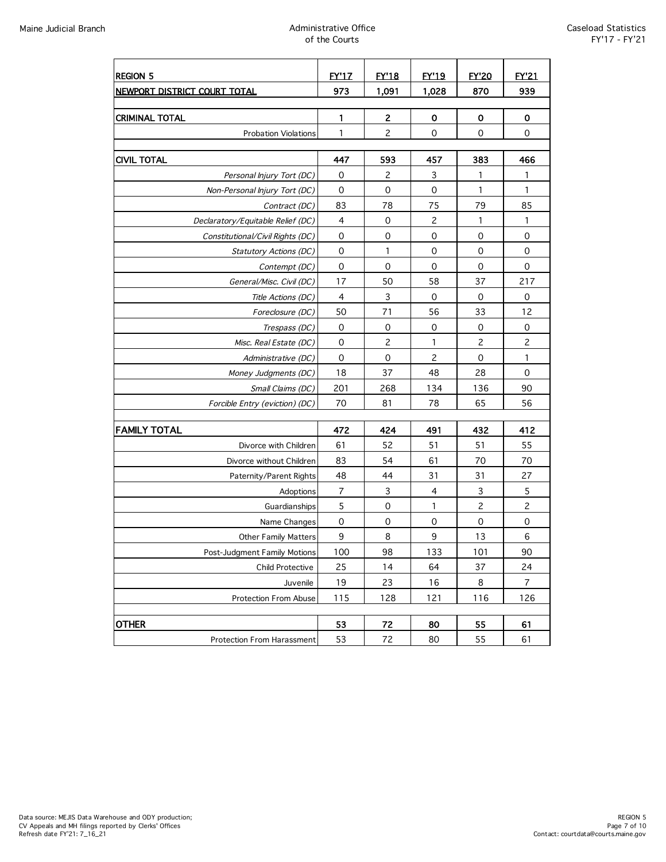| <b>REGION 5</b>                   | <b>EY'17</b>   | <b>EY'18</b>   | <b>EY'19</b>   | <b>EY'20</b>   | <b>EY'21</b>   |
|-----------------------------------|----------------|----------------|----------------|----------------|----------------|
| NEWPORT DISTRICT COURT TOTAL      | 973            | 1,091          | 1,028          | 870            | 939            |
|                                   |                |                |                |                |                |
| <b>CRIMINAL TOTAL</b>             | 1              | 2              | 0              | 0              | 0              |
| <b>Probation Violations</b>       | $\mathbf{1}$   | $\overline{c}$ | 0              | 0              | 0              |
|                                   |                |                |                |                |                |
| <b>CIVIL TOTAL</b>                | 447            | 593            | 457            | 383            | 466            |
| Personal Injury Tort (DC)         | 0              | 2              | 3              | 1              | 1              |
| Non-Personal Injury Tort (DC)     | $\mathbf 0$    | $\mathbf 0$    | 0              | 1              | 1              |
| Contract (DC)                     | 83             | 78             | 75             | 79             | 85             |
| Declaratory/Equitable Relief (DC) | 4              | 0              | 2              | 1              | 1              |
| Constitutional/Civil Rights (DC)  | $\mathbf 0$    | 0              | $\mathbf 0$    | 0              | 0              |
| <b>Statutory Actions (DC)</b>     | 0              | 1              | 0              | 0              | 0              |
| Contempt (DC)                     | $\mathbf 0$    | 0              | 0              | $\mathbf 0$    | $\mathbf 0$    |
| General/Misc. Civil (DC)          | 17             | 50             | 58             | 37             | 217            |
| Title Actions (DC)                | 4              | 3              | $\mathbf 0$    | $\mathbf 0$    | $\mathbf 0$    |
| Foreclosure (DC)                  | 50             | 71             | 56             | 33             | 12             |
| Trespass (DC)                     | 0              | 0              | 0              | 0              | 0              |
| Misc. Real Estate (DC)            | 0              | $\overline{c}$ | 1              | $\overline{c}$ | $\overline{c}$ |
| Administrative (DC)               | $\mathbf 0$    | 0              | $\overline{c}$ | $\mathbf 0$    | $\mathbf{1}$   |
| Money Judgments (DC)              | 18             | 37             | 48             | 28             | 0              |
| Small Claims (DC)                 | 201            | 268            | 134            | 136            | 90             |
| Forcible Entry (eviction) (DC)    | 70             | 81             | 78             | 65             | 56             |
|                                   |                |                |                |                |                |
| <b>FAMILY TOTAL</b>               | 472            | 424            | 491            | 432            | 412            |
| Divorce with Children             | 61             | 52             | 51             | 51             | 55             |
| Divorce without Children          | 83             | 54             | 61             | 70             | 70             |
| Paternity/Parent Rights           | 48             | 44             | 31             | 31             | 27             |
| Adoptions                         | $\overline{7}$ | 3              | 4              | 3              | 5              |
| Guardianships                     | 5              | 0              | 1              | $\overline{c}$ | $\overline{c}$ |
| Name Changes                      | $\mathbf 0$    | 0              | 0              | 0              | 0              |
| <b>Other Family Matters</b>       | 9              | 8              | 9              | 13             | 6              |
| Post-Judgment Family Motions      | 100            | 98             | 133            | 101            | 90             |
| Child Protective                  | 25             | 14             | 64             | 37             | 24             |
| Juvenile                          | 19             | 23             | 16             | 8              | 7              |
| Protection From Abuse             | 115            | 128            | 121            | 116            | 126            |
|                                   |                |                |                |                |                |
| <b>OTHER</b>                      | 53             | 72             | 80             | 55             | 61             |
| Protection From Harassment        | 53             | 72             | 80             | 55             | 61             |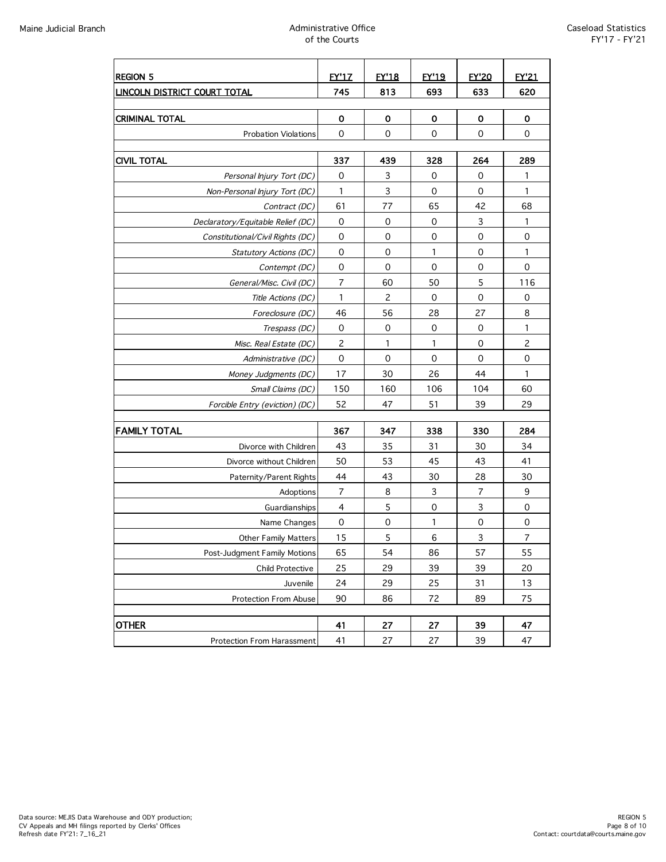| <b>REGION 5</b>                                                                                                                                                                                                                                                                                                                                                                                                                                                                                                                                                                                                                                                                                                                                                                                                                                                                                                                                                                                                                        | <b>EY'17</b> | <b>EY'18</b> | <b>EY'19</b> | <b>FY'20</b> | <b>EY'21</b>   |
|----------------------------------------------------------------------------------------------------------------------------------------------------------------------------------------------------------------------------------------------------------------------------------------------------------------------------------------------------------------------------------------------------------------------------------------------------------------------------------------------------------------------------------------------------------------------------------------------------------------------------------------------------------------------------------------------------------------------------------------------------------------------------------------------------------------------------------------------------------------------------------------------------------------------------------------------------------------------------------------------------------------------------------------|--------------|--------------|--------------|--------------|----------------|
| <b>LINCOLN DISTRICT COURT TOTAL</b>                                                                                                                                                                                                                                                                                                                                                                                                                                                                                                                                                                                                                                                                                                                                                                                                                                                                                                                                                                                                    | 745          | 813          | 693          | 633          | 620            |
|                                                                                                                                                                                                                                                                                                                                                                                                                                                                                                                                                                                                                                                                                                                                                                                                                                                                                                                                                                                                                                        |              |              |              |              |                |
|                                                                                                                                                                                                                                                                                                                                                                                                                                                                                                                                                                                                                                                                                                                                                                                                                                                                                                                                                                                                                                        | 0            | 0            | 0            | 0            | 0              |
| <b>Probation Violations</b>                                                                                                                                                                                                                                                                                                                                                                                                                                                                                                                                                                                                                                                                                                                                                                                                                                                                                                                                                                                                            | 0            | 0            | 0            | 0            | 0              |
|                                                                                                                                                                                                                                                                                                                                                                                                                                                                                                                                                                                                                                                                                                                                                                                                                                                                                                                                                                                                                                        |              |              |              |              | 289            |
|                                                                                                                                                                                                                                                                                                                                                                                                                                                                                                                                                                                                                                                                                                                                                                                                                                                                                                                                                                                                                                        |              |              |              |              | 1              |
|                                                                                                                                                                                                                                                                                                                                                                                                                                                                                                                                                                                                                                                                                                                                                                                                                                                                                                                                                                                                                                        |              |              |              |              | $\mathbf{1}$   |
|                                                                                                                                                                                                                                                                                                                                                                                                                                                                                                                                                                                                                                                                                                                                                                                                                                                                                                                                                                                                                                        |              |              |              |              | 68             |
|                                                                                                                                                                                                                                                                                                                                                                                                                                                                                                                                                                                                                                                                                                                                                                                                                                                                                                                                                                                                                                        |              |              |              |              | 1              |
|                                                                                                                                                                                                                                                                                                                                                                                                                                                                                                                                                                                                                                                                                                                                                                                                                                                                                                                                                                                                                                        |              |              |              |              | 0              |
|                                                                                                                                                                                                                                                                                                                                                                                                                                                                                                                                                                                                                                                                                                                                                                                                                                                                                                                                                                                                                                        |              |              |              |              | 1              |
|                                                                                                                                                                                                                                                                                                                                                                                                                                                                                                                                                                                                                                                                                                                                                                                                                                                                                                                                                                                                                                        |              |              |              |              | 0              |
|                                                                                                                                                                                                                                                                                                                                                                                                                                                                                                                                                                                                                                                                                                                                                                                                                                                                                                                                                                                                                                        |              |              |              |              | 116            |
|                                                                                                                                                                                                                                                                                                                                                                                                                                                                                                                                                                                                                                                                                                                                                                                                                                                                                                                                                                                                                                        |              |              |              |              | 0              |
|                                                                                                                                                                                                                                                                                                                                                                                                                                                                                                                                                                                                                                                                                                                                                                                                                                                                                                                                                                                                                                        |              |              |              |              | 8              |
|                                                                                                                                                                                                                                                                                                                                                                                                                                                                                                                                                                                                                                                                                                                                                                                                                                                                                                                                                                                                                                        |              |              |              |              | 1              |
|                                                                                                                                                                                                                                                                                                                                                                                                                                                                                                                                                                                                                                                                                                                                                                                                                                                                                                                                                                                                                                        |              |              |              |              | $\overline{c}$ |
|                                                                                                                                                                                                                                                                                                                                                                                                                                                                                                                                                                                                                                                                                                                                                                                                                                                                                                                                                                                                                                        |              |              |              |              | 0              |
|                                                                                                                                                                                                                                                                                                                                                                                                                                                                                                                                                                                                                                                                                                                                                                                                                                                                                                                                                                                                                                        |              |              |              |              | 1              |
|                                                                                                                                                                                                                                                                                                                                                                                                                                                                                                                                                                                                                                                                                                                                                                                                                                                                                                                                                                                                                                        |              |              |              |              | 60             |
|                                                                                                                                                                                                                                                                                                                                                                                                                                                                                                                                                                                                                                                                                                                                                                                                                                                                                                                                                                                                                                        |              |              |              |              | 29             |
|                                                                                                                                                                                                                                                                                                                                                                                                                                                                                                                                                                                                                                                                                                                                                                                                                                                                                                                                                                                                                                        |              |              |              |              |                |
| <b>FAMILY TOTAL</b>                                                                                                                                                                                                                                                                                                                                                                                                                                                                                                                                                                                                                                                                                                                                                                                                                                                                                                                                                                                                                    | 367          | 347          | 338          | 330          | 284            |
| Divorce with Children                                                                                                                                                                                                                                                                                                                                                                                                                                                                                                                                                                                                                                                                                                                                                                                                                                                                                                                                                                                                                  | 43           | 35           | 31           | 30           | 34             |
| Divorce without Children                                                                                                                                                                                                                                                                                                                                                                                                                                                                                                                                                                                                                                                                                                                                                                                                                                                                                                                                                                                                               | 50           | 53           | 45           | 43           | 41             |
| Paternity/Parent Rights                                                                                                                                                                                                                                                                                                                                                                                                                                                                                                                                                                                                                                                                                                                                                                                                                                                                                                                                                                                                                | 44           | 43           | 30           | 28           | 30             |
| Adoptions                                                                                                                                                                                                                                                                                                                                                                                                                                                                                                                                                                                                                                                                                                                                                                                                                                                                                                                                                                                                                              | 7            | 8            | 3            | 7            | 9              |
| Guardianships                                                                                                                                                                                                                                                                                                                                                                                                                                                                                                                                                                                                                                                                                                                                                                                                                                                                                                                                                                                                                          | 4            | 5            | $\mathbf 0$  | 3            | 0              |
| Name Changes                                                                                                                                                                                                                                                                                                                                                                                                                                                                                                                                                                                                                                                                                                                                                                                                                                                                                                                                                                                                                           | 0            | 0            | 1            | 0            | 0              |
| <b>Other Family Matters</b>                                                                                                                                                                                                                                                                                                                                                                                                                                                                                                                                                                                                                                                                                                                                                                                                                                                                                                                                                                                                            | 15           | 5            | 6            | 3            | $\overline{7}$ |
| Post-Judgment Family Motions                                                                                                                                                                                                                                                                                                                                                                                                                                                                                                                                                                                                                                                                                                                                                                                                                                                                                                                                                                                                           | 65           | 54           | 86           | 57           | 55             |
| Child Protective                                                                                                                                                                                                                                                                                                                                                                                                                                                                                                                                                                                                                                                                                                                                                                                                                                                                                                                                                                                                                       | 25           | 29           | 39           | 39           | 20             |
| Juvenile                                                                                                                                                                                                                                                                                                                                                                                                                                                                                                                                                                                                                                                                                                                                                                                                                                                                                                                                                                                                                               | 24           | 29           | 25           | 31           | 13             |
| Protection From Abuse                                                                                                                                                                                                                                                                                                                                                                                                                                                                                                                                                                                                                                                                                                                                                                                                                                                                                                                                                                                                                  | 90           | 86           | 72           | 89           | 75             |
| <b>CRIMINAL TOTAL</b><br><b>CIVIL TOTAL</b><br>337<br>439<br>328<br>264<br>3<br>0<br>0<br>0<br>Personal Injury Tort (DC)<br>3<br>$\mathbf{1}$<br>$\mathbf 0$<br>0<br>Non-Personal Injury Tort (DC)<br>61<br>42<br>77<br>65<br>Contract (DC)<br>$\mathbf 0$<br>3<br>Declaratory/Equitable Relief (DC)<br>0<br>0<br>$\mathbf 0$<br>0<br>0<br>0<br>Constitutional/Civil Rights (DC)<br>0<br>0<br>0<br>1<br>Statutory Actions (DC)<br>0<br>0<br>0<br>0<br>Contempt (DC)<br>$\overline{7}$<br>5<br>60<br>50<br>General/Misc. Civil (DC)<br>$\mathbf{1}$<br>$\overline{c}$<br>$\mathbf 0$<br>$\mathbf 0$<br>Title Actions (DC)<br>46<br>28<br>27<br>56<br>Foreclosure (DC)<br>$\mathbf 0$<br>$\mathbf 0$<br>0<br>0<br>Trespass (DC)<br>$\overline{c}$<br>0<br>1<br>1<br>Misc. Real Estate (DC)<br>0<br>0<br>0<br>0<br>Administrative (DC)<br>17<br>30<br>26<br>44<br>Money Judgments (DC)<br>150<br>160<br>106<br>104<br>Small Claims (DC)<br>52<br>51<br>39<br>47<br>Forcible Entry (eviction) (DC)<br><b>OTHER</b><br>41<br>27<br>27<br>39 |              |              |              |              |                |
|                                                                                                                                                                                                                                                                                                                                                                                                                                                                                                                                                                                                                                                                                                                                                                                                                                                                                                                                                                                                                                        |              |              |              |              | 47             |
| Protection From Harassment                                                                                                                                                                                                                                                                                                                                                                                                                                                                                                                                                                                                                                                                                                                                                                                                                                                                                                                                                                                                             | 41           | 27           | 27           | 39           | 47             |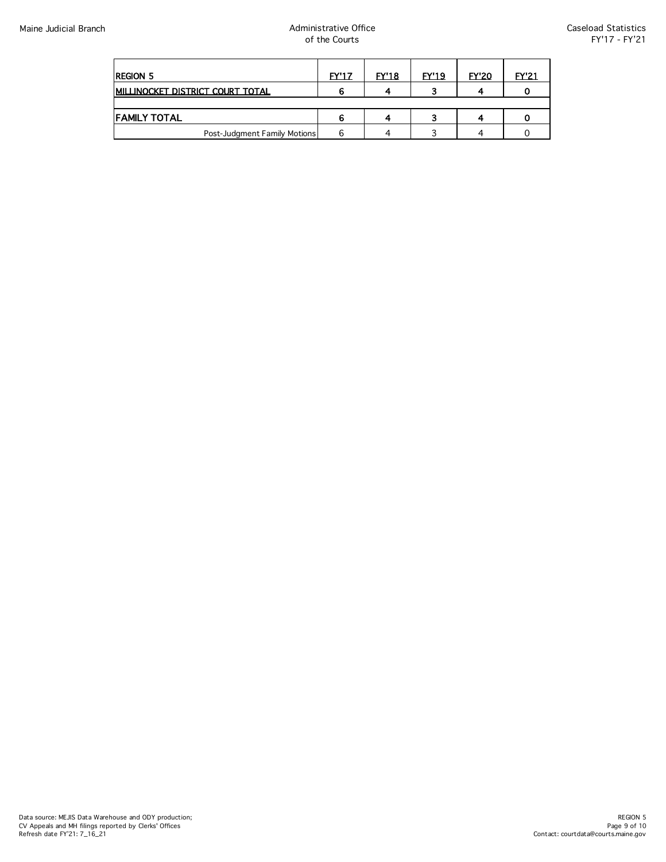| <b>REGION 5</b>                         | <b>FY'17</b> | <b>FY'18</b> | <b>FY'19</b> | <b>FY'20</b> | <b>FY'21</b> |
|-----------------------------------------|--------------|--------------|--------------|--------------|--------------|
| <b>MILLINOCKET DISTRICT COURT TOTAL</b> |              |              |              |              |              |
|                                         |              |              |              |              |              |
| <b>FAMILY TOTAL</b>                     |              |              |              | $\epsilon$   |              |
| Post-Judgment Family Motions            |              |              |              |              |              |